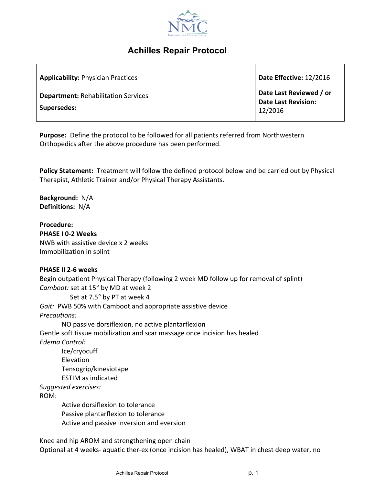

# **Achilles Repair Protocol**

| <b>Applicability: Physician Practices</b>                 | Date Effective: 12/2016                                          |
|-----------------------------------------------------------|------------------------------------------------------------------|
| <b>Department: Rehabilitation Services</b><br>Supersedes: | Date Last Reviewed / or<br><b>Date Last Revision:</b><br>12/2016 |

**Purpose:** Define the protocol to be followed for all patients referred from Northwestern Orthopedics after the above procedure has been performed.

**Policy Statement:** Treatment will follow the defined protocol below and be carried out by Physical Therapist, Athletic Trainer and/or Physical Therapy Assistants.

**Background:** N/A **Definitions:** N/A

**Procedure:** 

**PHASE I 0-2 Weeks** NWB with assistive device x 2 weeks

Immobilization in splint

## **PHASE II 2-6 weeks**

Begin outpatient Physical Therapy (following 2 week MD follow up for removal of splint) *Camboot:* set at 15° by MD at week 2 Set at 7.5° by PT at week 4 Gait: PWB 50% with Camboot and appropriate assistive device *Precautions:* NO passive dorsiflexion, no active plantarflexion Gentle soft tissue mobilization and scar massage once incision has healed *Edema Control:* Ice/cryocuff Elevation Tensogrip/kinesiotape ESTIM as indicated *Suggested exercises:* ROM: Active dorsiflexion to tolerance Passive plantarflexion to tolerance Active and passive inversion and eversion

Knee and hip AROM and strengthening open chain Optional at 4 weeks- aquatic ther-ex (once incision has healed), WBAT in chest deep water, no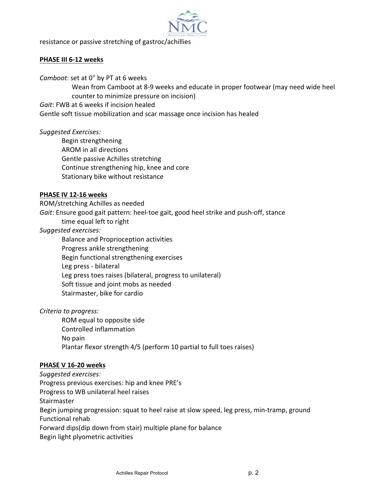

resistance or passive stretching of gastroc/achillies

#### **PHASE III 6-12 weeks**

*Camboot*: set at 0° by PT at 6 weeks

Wean from Camboot at 8-9 weeks and educate in proper footwear (may need wide heel counter to minimize pressure on incision)

Gait: FWB at 6 weeks if incision healed

Gentle soft tissue mobilization and scar massage once incision has healed

## *Suggested Exercises:*

Begin strengthening AROM in all directions Gentle passive Achilles stretching Continue strengthening hip, knee and core Stationary bike without resistance

#### **PHASE IV 12-16 weeks**

ROM/stretching Achilles as needed

Gait: Ensure good gait pattern: heel-toe gait, good heel strike and push-off, stance

time equal left to right

## *Suggested exercises:*

Balance and Proprioception activities Progress ankle strengthening Begin functional strengthening exercises Leg press - bilateral Leg press toes raises (bilateral, progress to unilateral) Soft tissue and joint mobs as needed Stairmaster, bike for cardio

## *Criteria to progress:*

ROM equal to opposite side Controlled inflammation No pain Plantar flexor strength 4/5 (perform 10 partial to full toes raises)

## **PHASE V 16-20 weeks**

*Suggested exercises:* Progress previous exercises: hip and knee PRE's Progress to WB unilateral heel raises **Stairmaster** Begin jumping progression: squat to heel raise at slow speed, leg press, min-tramp, ground Functional rehab Forward dips(dip down from stair) multiple plane for balance Begin light plyometric activities